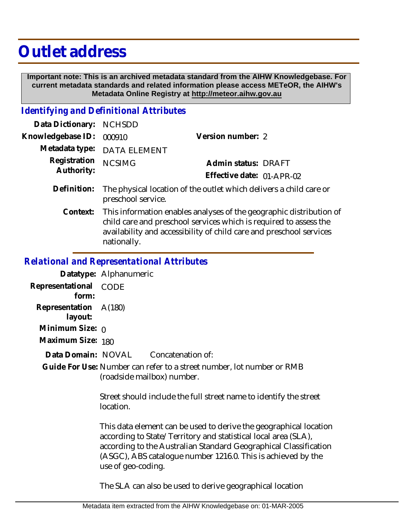## **Outlet address**

 **Important note: This is an archived metadata standard from the AIHW Knowledgebase. For current metadata standards and related information please access METeOR, the AIHW's Metadata Online Registry at http://meteor.aihw.gov.au**

## *Identifying and Definitional Attributes*

| Data Dictionary: NCHSDD           |                                                                                                      |                           |  |
|-----------------------------------|------------------------------------------------------------------------------------------------------|---------------------------|--|
| Knowledgebase ID: 000910          |                                                                                                      | Version number: 2         |  |
|                                   | Metadata type: DATA ELEMENT                                                                          |                           |  |
| Registration NCSIMG<br>Authority: |                                                                                                      | Admin status: DRAFT       |  |
|                                   |                                                                                                      | Effective date: 01-APR-02 |  |
|                                   | Definition: The physical location of the outlet which delivers a child care or<br>preschool service. |                           |  |
|                                   | Context: This information enables analyses of the geographic distribution of                         |                           |  |

child care and preschool services which is required to assess the availability and accessibility of child care and preschool services nationally.

## *Relational and Representational Attributes*

|                       | Datatype: Alphanumeric |                                                 |
|-----------------------|------------------------|-------------------------------------------------|
| Representational CODE |                        |                                                 |
| form:                 |                        |                                                 |
| Representation A(180) |                        |                                                 |
| layout:               |                        |                                                 |
| Minimum Size: $\rho$  |                        |                                                 |
| Maximum Size: 180     |                        |                                                 |
| Data Domain: NOVAL    |                        | Concatenation of:                               |
|                       |                        | Guide For Use: Number can refer to a street nur |

et number, lot number or RMB (roadside mailbox) number.

> Street should include the full street name to identify the street location.

This data element can be used to derive the geographical location according to State/Territory and statistical local area (SLA), according to the Australian Standard Geographical Classification (ASGC), ABS catalogue number 1216.0. This is achieved by the use of geo-coding.

The SLA can also be used to derive geographical location